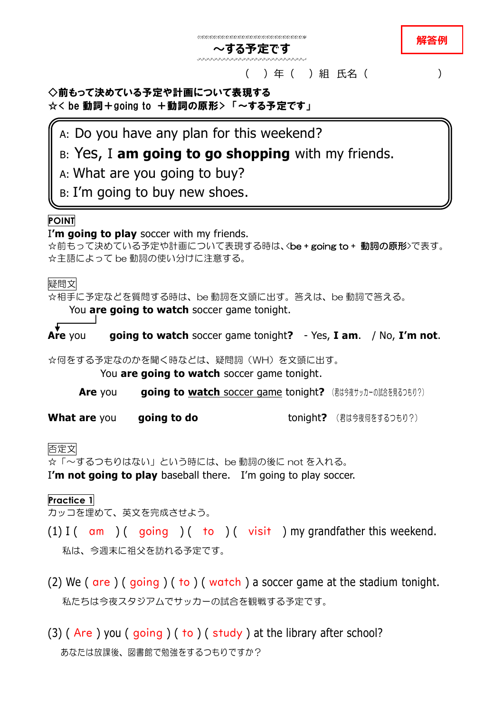#### **解答例**

#### ( ) 年 ( ) 組 氏名 ( )

## ◇前もって決めている予定や計画について表現する ☆< be 動詞+going to +動詞の原形> 「~する予定です」

A: Do you have any plan for this weekend?

# B: Yes, I **am going to go shopping** with my friends.

**~する予定です**

- A: What are you going to buy?
- B: I'm going to buy new shoes.

# **POINT**

I**'m going to play** soccer with my friends.

 $\alpha$ 前もって決めている予定や計画について表現する時は、<be + going to + 動詞の原形>で表す。 ☆主語によって be 動詞の使い分けに注意する。

## 疑問文

☆相手に予定などを質問する時は、be 動詞を文頭に出す。答えは、be 動詞で答える。

You **are going to watch** soccer game tonight.

**Are** you **are going to watch** soccer game tonight**?** - Yes, **I am**. / No, **I'm not**.

☆何をする予定なのかを聞く時などは、疑問詞(WH)を文頭に出す。

You **are going to watch** soccer game tonight.

**Are** you **going to watch soccer game tonight?** (君は今夜サッカーの試合を見るつもり?)

**What are** you are going to do tonight? (君は今夜何をするつもり?)

## 否定文

☆「~するつもりはない」という時には、be 動詞の後に not を入れる。

I**'m not going to play** baseball there. I'm going to play soccer.

#### **Practice 1**

カッコを埋めて、英文を完成させよう。

- (1) I ( $\alpha$ m) ( $\alpha$ oing ) (to ) (visit) my grandfather this weekend. 私は、今週末に祖父を訪れる予定です。
- (2) We ( are ) ( going ) ( to ) ( watch ) a soccer game at the stadium tonight. 私たちは今夜スタジアムでサッカーの試合を観戦する予定です。
- (3) ( Are ) you ( going ) ( to ) ( study ) at the library after school? あなたは放課後、図書館で勉強をするつもりですか?